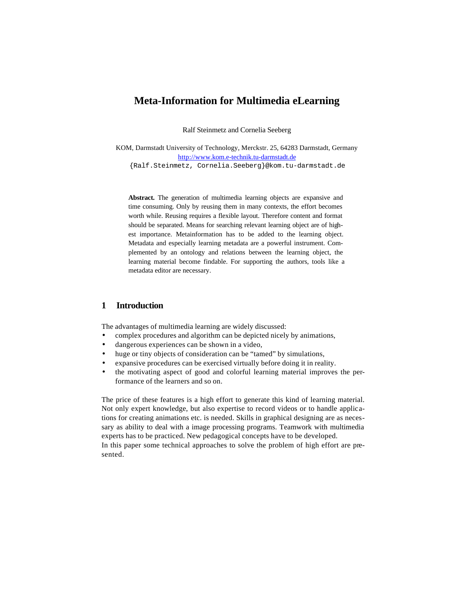# **Meta-Information for Multimedia eLearning**

Ralf Steinmetz and Cornelia Seeberg

KOM, Darmstadt University of Technology, Merckstr. 25, 64283 Darmstadt, Germany http://www.kom.e-technik.tu-darmstadt.de {Ralf.Steinmetz, Cornelia.Seeberg}@kom.tu-darmstadt.de

**Abstract.** The generation of multimedia learning objects are expansive and time consuming. Only by reusing them in many contexts, the effort becomes worth while. Reusing requires a flexible layout. Therefore content and format should be separated. Means for searching relevant learning object are of highest importance. Metainformation has to be added to the learning object. Metadata and especially learning metadata are a powerful instrument. Complemented by an ontology and relations between the learning object, the learning material become findable. For supporting the authors, tools like a metadata editor are necessary.

## **1 Introduction**

The advantages of multimedia learning are widely discussed:

- complex procedures and algorithm can be depicted nicely by animations,
- dangerous experiences can be shown in a video,
- huge or tiny objects of consideration can be "tamed" by simulations,
- expansive procedures can be exercised virtually before doing it in reality.
- the motivating aspect of good and colorful learning material improves the performance of the learners and so on.

The price of these features is a high effort to generate this kind of learning material. Not only expert knowledge, but also expertise to record videos or to handle applications for creating animations etc. is needed. Skills in graphical designing are as necessary as ability to deal with a image processing programs. Teamwork with multimedia experts has to be practiced. New pedagogical concepts have to be developed. In this paper some technical approaches to solve the problem of high effort are presented.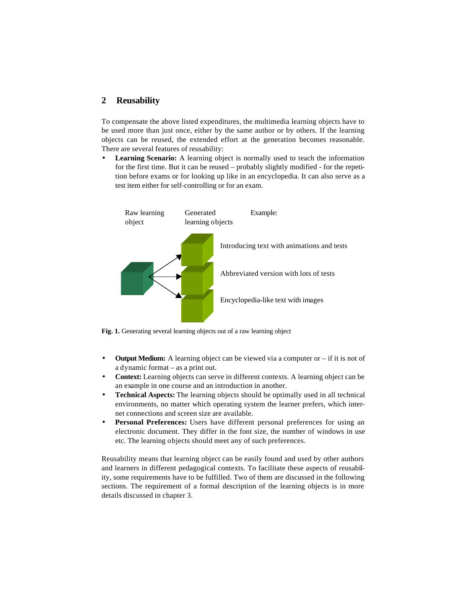## **2 Reusability**

To compensate the above listed expenditures, the multimedia learning objects have to be used more than just once, either by the same author or by others. If the learning objects can be reused, the extended effort at the generation becomes reasonable. There are several features of reusability:

• **Learning Scenario:** A learning object is normally used to teach the information for the first time. But it can be reused – probably slightly modified - for the repetition before exams or for looking up like in an encyclopedia. It can also serve as a test item either for self-controlling or for an exam.



**Fig. 1.** Generating several learning objects out of a raw learning object

- **Output Medium:** A learning object can be viewed via a computer or if it is not of a dynamic format – as a print out.
- **Context:** Learning objects can serve in different contexts. A learning object can be an example in one course and an introduction in another.
- **Technical Aspects:** The learning objects should be optimally used in all technical environments, no matter which operating system the learner prefers, which internet connections and screen size are available.
- **Personal Preferences:** Users have different personal preferences for using an electronic document. They differ in the font size, the number of windows in use etc. The learning objects should meet any of such preferences.

Reusability means that learning object can be easily found and used by other authors and learners in different pedagogical contexts. To facilitate these aspects of reusability, some requirements have to be fulfilled. Two of them are discussed in the following sections. The requirement of a formal description of the learning objects is in more details discussed in chapter 3.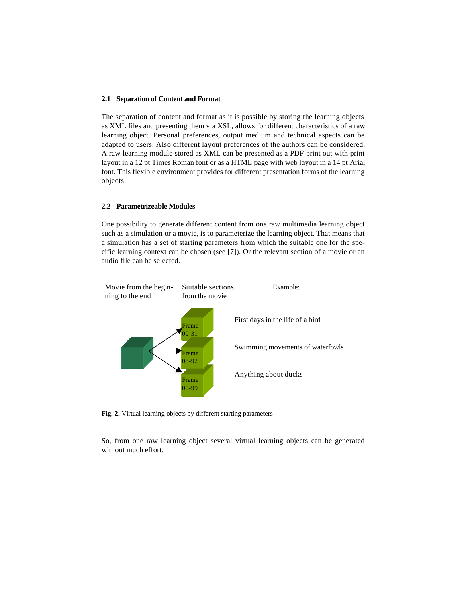#### **2.1 Separation of Content and Format**

The separation of content and format as it is possible by storing the learning objects as XML files and presenting them via XSL, allows for different characteristics of a raw learning object. Personal preferences, output medium and technical aspects can be adapted to users. Also different layout preferences of the authors can be considered. A raw learning module stored as XML can be presented as a PDF print out with print layout in a 12 pt Times Roman font or as a HTML page with web layout in a 14 pt Arial font. This flexible environment provides for different presentation forms of the learning objects.

#### **2.2 Parametrizeable Modules**

One possibility to generate different content from one raw multimedia learning object such as a simulation or a movie, is to parameterize the learning object. That means that a simulation has a set of starting parameters from which the suitable one for the specific learning context can be chosen (see [7]). Or the relevant section of a movie or an audio file can be selected.



**Fig. 2.** Virtual learning objects by different starting parameters

So, from one raw learning object several virtual learning objects can be generated without much effort.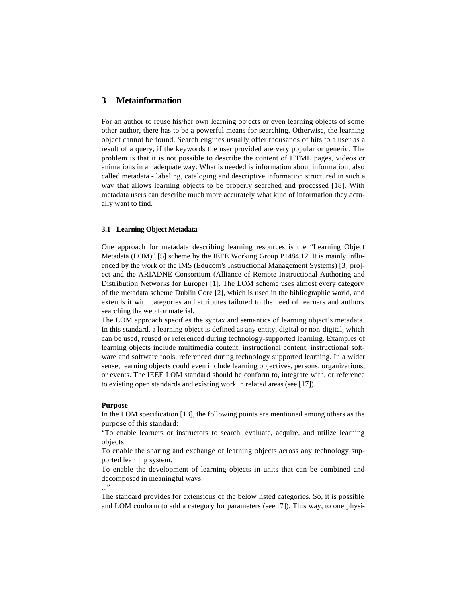## **3 Metainformation**

For an author to reuse his/her own learning objects or even learning objects of some other author, there has to be a powerful means for searching. Otherwise, the learning object cannot be found. Search engines usually offer thousands of hits to a user as a result of a query, if the keywords the user provided are very popular or generic. The problem is that it is not possible to describe the content of HTML pages, videos or animations in an adequate way. What is needed is information about information; also called metadata - labeling, cataloging and descriptive information structured in such a way that allows learning objects to be properly searched and processed [18]. With metadata users can describe much more accurately what kind of information they actually want to find.

#### **3.1 Learning Object Metadata**

One approach for metadata describing learning resources is the "Learning Object Metadata (LOM)" [5] scheme by the IEEE Working Group P1484.12. It is mainly influenced by the work of the IMS (Educom's Instructional Management Systems) [3] project and the ARIADNE Consortium (Alliance of Remote Instructional Authoring and Distribution Networks for Europe) [1]. The LOM scheme uses almost every category of the metadata scheme Dublin Core [2], which is used in the bibliographic world, and extends it with categories and attributes tailored to the need of learners and authors searching the web for material.

The LOM approach specifies the syntax and semantics of learning object's metadata. In this standard, a learning object is defined as any entity, digital or non-digital, which can be used, reused or referenced during technology-supported learning. Examples of learning objects include multimedia content, instructional content, instructional software and software tools, referenced during technology supported learning. In a wider sense, learning objects could even include learning objectives, persons, organizations, or events. The IEEE LOM standard should be conform to, integrate with, or reference to existing open standards and existing work in related areas (see [17]).

#### **Purpose**

In the LOM specification [13], the following points are mentioned among others as the purpose of this standard:

"To enable learners or instructors to search, evaluate, acquire, and utilize learning objects.

To enable the sharing and exchange of learning objects across any technology supported learning system.

To enable the development of learning objects in units that can be combined and decomposed in meaningful ways. ..."

The standard provides for extensions of the below listed categories. So, it is possible and LOM conform to add a category for parameters (see [7]). This way, to one physi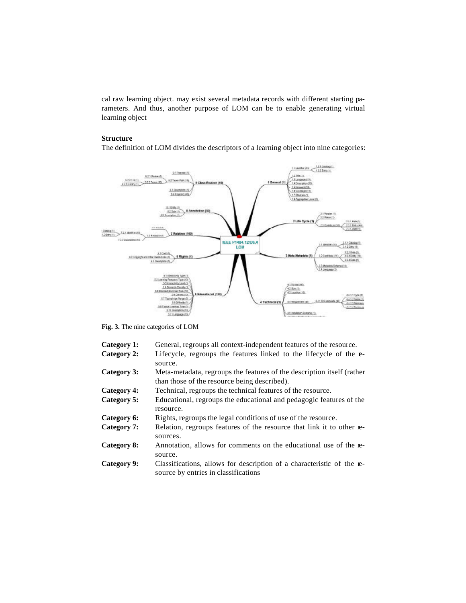cal raw learning object. may exist several metadata records with different starting parameters. And thus, another purpose of LOM can be to enable generating virtual learning object

#### **Structure**

The definition of LOM divides the descriptors of a learning object into nine categories:



**Fig. 3.** The nine categories of LOM

| Category 1:<br>General, regroups all context-independent features of the resource. |
|------------------------------------------------------------------------------------|
|------------------------------------------------------------------------------------|

- Category 2: Lifecycle, regroups the features linked to the lifecycle of the **r**source.
- **Category 3:** Meta-metadata, regroups the features of the description itself (rather than those of the resource being described).
- **Category 4:** Technical, regroups the technical features of the resource.
- **Category 5:** Educational, regroups the educational and pedagogic features of the resource.

**Category 6:** Rights, regroups the legal conditions of use of the resource.

- **Category 7:** Relation, regroups features of the resource that link it to other resources.
- **Category 8:** Annotation, allows for comments on the educational use of the resource.
- **Category 9:** Classifications, allows for description of a characteristic of the resource by entries in classifications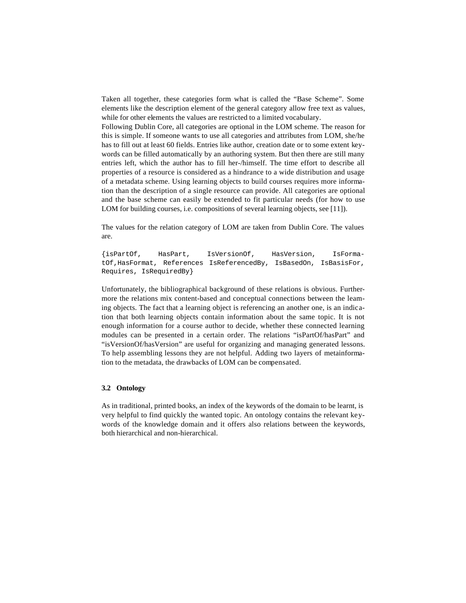Taken all together, these categories form what is called the "Base Scheme". Some elements like the description element of the general category allow free text as values, while for other elements the values are restricted to a limited vocabulary.

Following Dublin Core, all categories are optional in the LOM scheme. The reason for this is simple. If someone wants to use all categories and attributes from LOM, she/he has to fill out at least 60 fields. Entries like author, creation date or to some extent keywords can be filled automatically by an authoring system. But then there are still many entries left, which the author has to fill her-/himself. The time effort to describe all properties of a resource is considered as a hindrance to a wide distribution and usage of a metadata scheme. Using learning objects to build courses requires more information than the description of a single resource can provide. All categories are optional and the base scheme can easily be extended to fit particular needs (for how to use LOM for building courses, i.e. compositions of several learning objects, see [11]).

The values for the relation category of LOM are taken from Dublin Core. The values are.

{isPartOf, HasPart, IsVersionOf, HasVersion, IsFormatOf,HasFormat, References IsReferencedBy, IsBasedOn, IsBasisFor, Requires, IsRequiredBy}

Unfortunately, the bibliographical background of these relations is obvious. Furthermore the relations mix content-based and conceptual connections between the learning objects. The fact that a learning object is referencing an another one, is an indication that both learning objects contain information about the same topic. It is not enough information for a course author to decide, whether these connected learning modules can be presented in a certain order. The relations "isPartOf/hasPart" and "isVersionOf/hasVersion" are useful for organizing and managing generated lessons. To help assembling lessons they are not helpful. Adding two layers of metainformation to the metadata, the drawbacks of LOM can be compensated.

### **3.2 Ontology**

As in traditional, printed books, an index of the keywords of the domain to be learnt, is very helpful to find quickly the wanted topic. An ontology contains the relevant keywords of the knowledge domain and it offers also relations between the keywords, both hierarchical and non-hierarchical.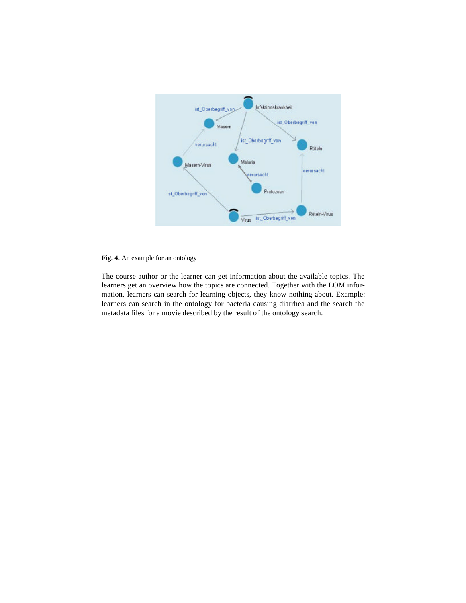

## **Fig. 4.** An example for an ontology

The course author or the learner can get information about the available topics. The learners get an overview how the topics are connected. Together with the LOM information, learners can search for learning objects, they know nothing about. Example: learners can search in the ontology for bacteria causing diarrhea and the search the metadata files for a movie described by the result of the ontology search.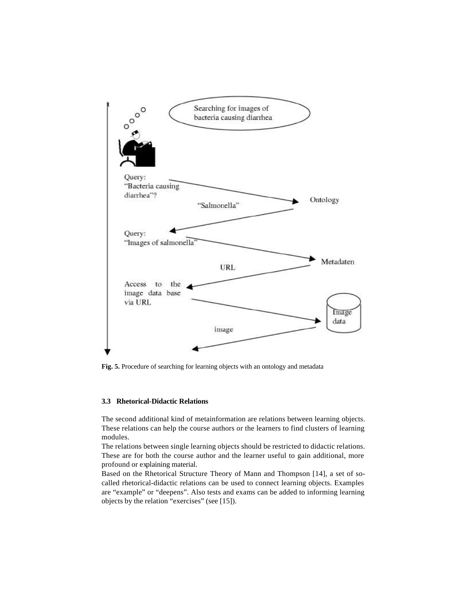

**Fig. 5.** Procedure of searching for learning objects with an ontology and metadata

#### **3.3 Rhetorical-Didactic Relations**

The second additional kind of metainformation are relations between learning objects. These relations can help the course authors or the learners to find clusters of learning modules.

The relations between single learning objects should be restricted to didactic relations. These are for both the course author and the learner useful to gain additional, more profound or explaining material.

Based on the Rhetorical Structure Theory of Mann and Thompson [14], a set of socalled rhetorical-didactic relations can be used to connect learning objects. Examples are "example" or "deepens". Also tests and exams can be added to informing learning objects by the relation "exercises" (see [15]).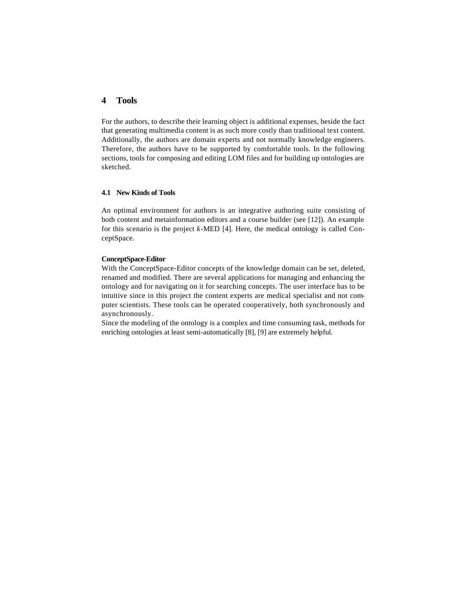## **4 Tools**

For the authors, to describe their learning object is additional expenses, beside the fact that generating multimedia content is as such more costly than traditional text content. Additionally, the authors are domain experts and not normally knowledge engineers. Therefore, the authors have to be supported by comfortable tools. In the following sections, tools for composing and editing LOM files and for building up ontologies are sketched.

## **4.1 New Kinds of Tools**

An optimal environment for authors is an integrative authoring suite consisting of both content and metainformation editors and a course builder (see [12]). An example for this scenario is the project *k*-MED [4]. Here, the medical ontology is called ConceptSpace.

#### **ConceptSpace-Editor**

With the ConceptSpace-Editor concepts of the knowledge domain can be set, deleted, renamed and modified. There are several applications for managing and enhancing the ontology and for navigating on it for searching concepts. The user interface has to be intuitive since in this project the content experts are medical specialist and not computer scientists. These tools can be operated cooperatively, both synchronously and asynchronously.

Since the modeling of the ontology is a complex and time consuming task, methods for enriching ontologies at least semi-automatically [8], [9] are extremely helpful.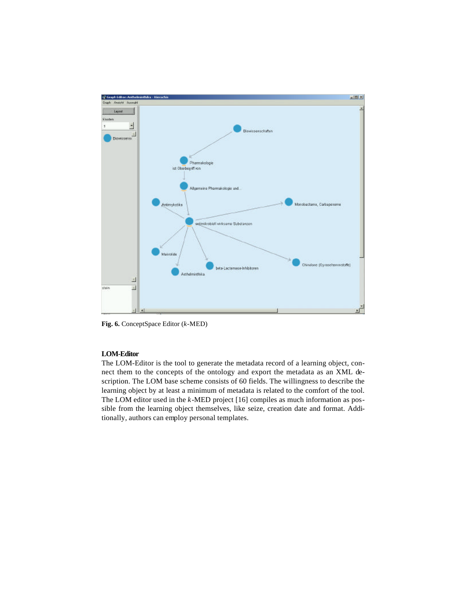

**Fig. 6.** ConceptSpace Editor (*k*-MED)

## **LOM-Editor**

The LOM-Editor is the tool to generate the metadata record of a learning object, connect them to the concepts of the ontology and export the metadata as an XML description. The LOM base scheme consists of 60 fields. The willingness to describe the learning object by at least a minimum of metadata is related to the comfort of the tool. The LOM editor used in the *k*-MED project [16] compiles as much information as possible from the learning object themselves, like seize, creation date and format. Additionally, authors can employ personal templates.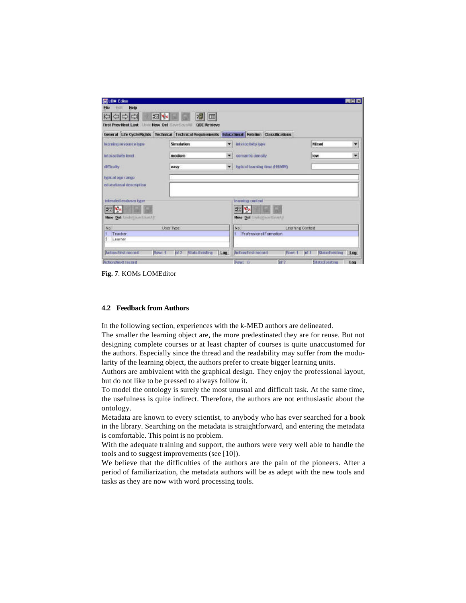| General Life CycleRights Technical Technical Requirements Educational Relation Classifications<br>Mixed<br>learning resource type<br>Simulation<br>interactivity type<br>۰<br>Interactivity fevel<br>low<br>medium<br>semantic density<br>۰<br>typical luxining time (HHMM)<br>difficulty<br>٠<br>easy<br>opnical ago rango<br>educational description<br>interated enduser type<br>learning cuntext<br>Đ.<br>New Del Unidistrum Strando<br>New Dal linduSaveSaveAll<br>No<br>No.<br>Learning Context<br>User Type<br><b>Professional Formation</b><br>Teacher<br>Learnor<br>2 | <b>First Prev Next Last</b> | 閤<br>$22$ X<br>Now Del<br><b>QBE Retrieve</b><br>SeverSavisful | Œ |  |     |  |
|--------------------------------------------------------------------------------------------------------------------------------------------------------------------------------------------------------------------------------------------------------------------------------------------------------------------------------------------------------------------------------------------------------------------------------------------------------------------------------------------------------------------------------------------------------------------------------|-----------------------------|----------------------------------------------------------------|---|--|-----|--|
|                                                                                                                                                                                                                                                                                                                                                                                                                                                                                                                                                                                |                             |                                                                |   |  | ۷   |  |
|                                                                                                                                                                                                                                                                                                                                                                                                                                                                                                                                                                                |                             |                                                                |   |  | ٠   |  |
|                                                                                                                                                                                                                                                                                                                                                                                                                                                                                                                                                                                |                             |                                                                |   |  |     |  |
|                                                                                                                                                                                                                                                                                                                                                                                                                                                                                                                                                                                |                             |                                                                |   |  |     |  |
|                                                                                                                                                                                                                                                                                                                                                                                                                                                                                                                                                                                |                             |                                                                |   |  |     |  |
|                                                                                                                                                                                                                                                                                                                                                                                                                                                                                                                                                                                |                             |                                                                |   |  |     |  |
| <b>ActionStrat record</b><br><b>Action First record</b><br>nt2<br><b>State Eatsting</b><br>State:Existing<br>Row: 1<br>Log<br><b>hf</b> 1<br>Finw: 1                                                                                                                                                                                                                                                                                                                                                                                                                           |                             |                                                                |   |  | Log |  |

**Fig. 7**. KOMs LOMEditor

## **4.2 Feedback from Authors**

In the following section, experiences with the k-MED authors are delineated.

The smaller the learning object are, the more predestinated they are for reuse. But not designing complete courses or at least chapter of courses is quite unaccustomed for the authors. Especially since the thread and the readability may suffer from the modularity of the learning object, the authors prefer to create bigger learning units.

Authors are ambivalent with the graphical design. They enjoy the professional layout, but do not like to be pressed to always follow it.

To model the ontology is surely the most unusual and difficult task. At the same time, the usefulness is quite indirect. Therefore, the authors are not enthusiastic about the ontology.

Metadata are known to every scientist, to anybody who has ever searched for a book in the library. Searching on the metadata is straightforward, and entering the metadata is comfortable. This point is no problem.

With the adequate training and support, the authors were very well able to handle the tools and to suggest improvements (see [10]).

We believe that the difficulties of the authors are the pain of the pioneers. After a period of familiarization, the metadata authors will be as adept with the new tools and tasks as they are now with word processing tools.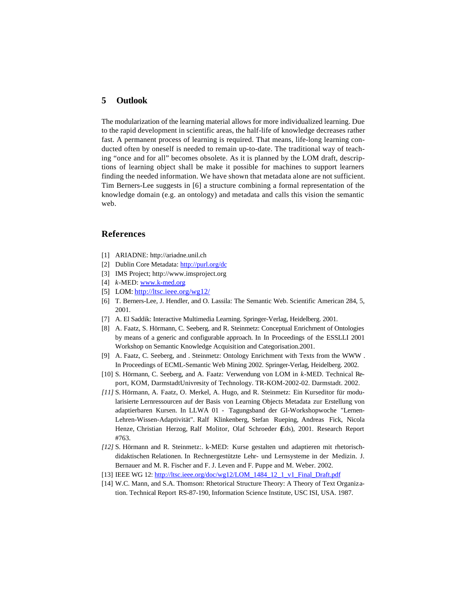## **5 Outlook**

The modularization of the learning material allows for more individualized learning. Due to the rapid development in scientific areas, the half-life of knowledge decreases rather fast. A permanent process of learning is required. That means, life-long learning conducted often by oneself is needed to remain up-to-date. The traditional way of teaching "once and for all" becomes obsolete. As it is planned by the LOM draft, descriptions of learning object shall be make it possible for machines to support learners finding the needed information. We have shown that metadata alone are not sufficient. Tim Berners-Lee suggests in [6] a structure combining a formal representation of the knowledge domain (e.g. an ontology) and metadata and calls this vision the semantic web.

### **References**

- [1] ARIADNE: http://ariadne.unil.ch
- [2] Dublin Core Metadata: http://purl.org/dc
- [3] IMS Project; http://www.imsproject.org
- [4] *k*-MED: www.k-med.org
- [5] LOM: http://ltsc.ieee.org/wg12/
- [6] T. Berners-Lee, J. Hendler, and O. Lassila: The Semantic Web. Scientific American 284, 5, 2001.
- [7] A. El Saddik: Interactive Multimedia Learning. Springer-Verlag, Heidelberg. 2001.
- [8] A. Faatz, S. Hörmann, C. Seeberg, and R. Steinmetz: Conceptual Enrichment of Ontologies by means of a generic and configurable approach. In In Proceedings of the ESSLLI 2001 Workshop on Semantic Knowledge Acquisition and Categorisation.2001.
- [9] A. Faatz, C. Seeberg, and . Steinmetz: Ontology Enrichment with Texts from the WWW . In Proceedings of ECML-Semantic Web Mining 2002. Springer-Verlag, Heidelberg. 2002.
- [10] S. Hörmann, C. Seeberg, and A. Faatz: Verwendung von LOM in *k*-MED. Technical Report, KOM, DarmstadtUnivresity of Technology. TR-KOM-2002-02. Darmstadt. 2002.
- *[11]* S. Hörmann, A. Faatz, O. Merkel, A. Hugo, and R. Steinmetz: Ein Kurseditor für modularisierte Lernressourcen auf der Basis von Learning Objects Metadata zur Erstellung von adaptierbaren Kursen. In LLWA 01 - Tagungsband der GI-Workshopwoche "Lernen-Lehren-Wissen-Adaptivität". Ralf Klinkenberg, Stefan Rueping, Andreas Fick, Nicola Henze, Christian Herzog, Ralf Molitor, Olaf Schroeder (Eds), 2001. Research Report #763.
- *[12]* S. Hörmann and R. Steinmetz:. k-MED: Kurse gestalten und adaptieren mit rhetorischdidaktischen Relationen. In Rechnergestützte Lehr- und Lernsysteme in der Medizin. J. Bernauer and M. R. Fischer and F. J. Leven and F. Puppe and M. Weber. 2002*.*
- [13] IEEE WG 12: http://ltsc.ieee.org/doc/wg12/LOM\_1484\_12\_1\_v1\_Final\_Draft.pdf
- [14] W.C. Mann, and S.A. Thomson: Rhetorical Structure Theory: A Theory of Text Organization. Technical Report RS-87-190, Information Science Institute, USC ISI, USA. 1987.